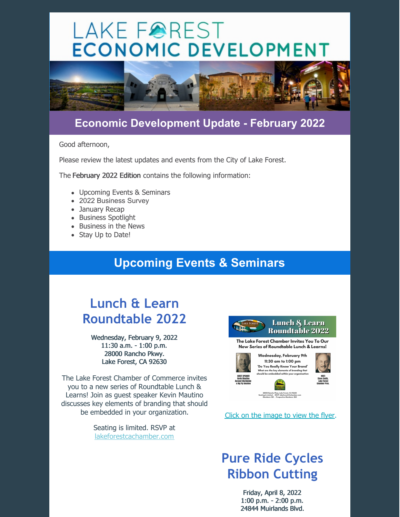# LAKE FOREST **ECONOMIC DEVELOPMENT**



#### **Economic Development Update - February 2022**

Good afternoon,

Please review the latest updates and events from the City of Lake Forest.

The February 2022 Edition contains the following information:

- Upcoming Events & Seminars
- 2022 Business Survey
- January Recap
- Business Spotlight
- Business in the News
- Stay Up to Date!

### **Upcoming Events & Seminars**

# **Lunch & Learn Roundtable 2022**

Wednesday, February 9, 2022 11:30 a.m. - 1:00 p.m. 28000 Rancho Pkwy. Lake Forest, CA 92630

The Lake Forest Chamber of Commerce invites you to a new series of Roundtable Lunch & Learns! Join as guest speaker Kevin Mautino discusses key elements of branding that should be embedded in your organization.

> Seating is limited. RSVP at [lakeforestcachamber.com](https://business.lakeforestcachamber.com/events/details/lunch-learn-roundtable-2022-3588475)



The Lake Forest Chamber Invites You To Our New Series of Roundtable Lunch & Learns!





28000 Rancho Pkwy, Lake Forest, CA 92630<br>ting is Limited . RSVP: lakeforestCAchamber.com<br>Members: \$15 . Prospective Members: \$25

Click on the [image](https://lakeforestbusiness.com/DocumentCenter/View/2815/picture) to view the flyer.

# **Pure Ride Cycles Ribbon Cutting**

Friday, April 8, 2022 1:00 p.m. - 2:00 p.m. 24844 Muirlands Blvd.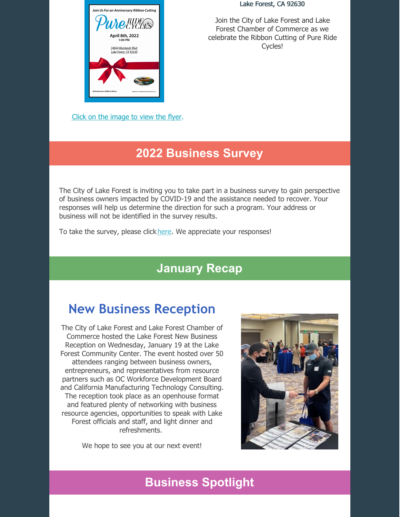

Click on the [image](https://lakeforestbusiness.com/DocumentCenter/View/2813/Ribbon-Cutting-Pure-Ride-Cycles-Jan-22) to view the flyer.

#### Lake Forest, CA 92630

Join the City of Lake Forest and Lake Forest Chamber of Commerce as we celebrate the Ribbon Cutting of Pure Ride Cycles!

#### **2022 Business Survey**

The City of Lake Forest is inviting you to take part in a business survey to gain perspective of business owners impacted by COVID-19 and the assistance needed to recover. Your responses will help us determine the direction for such a program. Your address or business will not be identified in the survey results.

To take the survey, please click [here](https://lakeforestbusiness.com/399/2022-Business-Survey). We appreciate your responses!

#### **January Recap**

# **New Business Reception**

The City of Lake Forest and Lake Forest Chamber of Commerce hosted the Lake Forest New Business Reception on Wednesday, January 19 at the Lake Forest Community Center. The event hosted over 50 attendees ranging between business owners, entrepreneurs, and representatives from resource partners such as OC Workforce Development Board and California Manufacturing Technology Consulting. The reception took place as an openhouse format and featured plenty of networking with business resource agencies, opportunities to speak with Lake Forest officials and staff, and light dinner and refreshments.

We hope to see you at our next event!



### **Business Spotlight**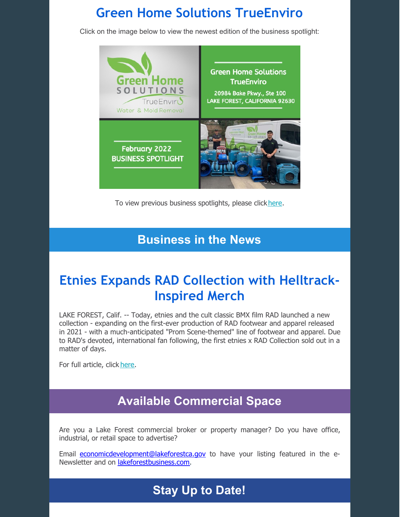## **Green Home Solutions TrueEnviro**

Click on the image below to view the newest edition of the business spotlight:



To view previous business spotlights, please click[here](https://lakeforestbusiness.com/CivicAlerts.aspx?CID=6).

#### **Business in the News**

# **Etnies Expands RAD Collection with Helltrack-Inspired Merch**

LAKE FOREST, Calif. -- Today, etnies and the cult classic BMX film RAD launched a new collection - expanding on the first-ever production of RAD footwear and apparel released in 2021 - with a much-anticipated "Prom Scene-themed" line of footwear and apparel. Due to RAD's devoted, international fan following, the first etnies x RAD Collection sold out in a matter of days.

For full article, click [here](https://www.businesswire.com/news/home/20220124005506/en/etnies-Expands-RAD-Collection-With-Helltrack-Inspired-Merch).

#### **Available Commercial Space**

Are you a Lake Forest commercial broker or property manager? Do you have office, industrial, or retail space to advertise?

Email [economicdevelopment@lakeforestca.gov](mailto:economicdevelopment@lakeforestca.gov) to have your listing featured in the e-Newsletter and on [lakeforestbusiness.com](http://www.lakeforestbusiness.com/).

### **Stay Up to Date!**